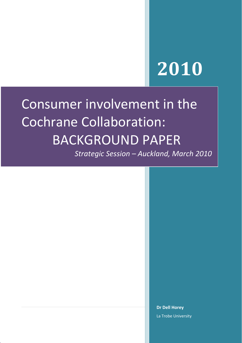# **2010**

## Consumer involvement in the Cochrane Collaboration: BACKGROUND PAPER

*Strategic Session – Auckland, March 2010*

**Dr Dell Horey** La Trobe University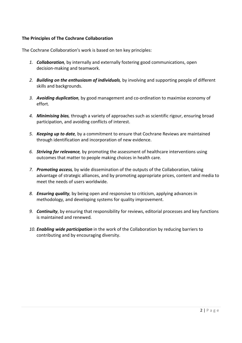## <span id="page-1-0"></span>**The Principles of The Cochrane Collaboration**

The Cochrane Collaboration's work is based on ten key principles:

- *1. Collaboration,* by internally and externally fostering good communications, open decision‐making and teamwork.
- *2. Building on the enthusiasm of individuals,* by involving and supporting people of different skills and backgrounds.
- *3. Avoiding duplication,* by good management and co‐ordination to maximise economy of effort.
- *4. Minimising bias,* through a variety of approaches such as scientific rigour, ensuring broad participation, and avoiding conflicts of interest.
- *5. Keeping up to date,* by a commitment to ensure that Cochrane Reviews are maintained through identification and incorporation of new evidence.
- *6. Striving for relevance,* by promoting the assessment of healthcare interventions using outcomes that matter to people making choices in health care.
- *7. Promoting access,* by wide dissemination of the outputs of the Collaboration, taking advantage of strategic alliances, and by promoting appropriate prices, content and media to meet the needs of users worldwide.
- *8. Ensuring quality,* by being open and responsive to criticism, applying advances in methodology, and developing systems for quality improvement.
- *9. Continuity*, by ensuring that responsibility for reviews, editorial processes and key functions is maintained and renewed*.*
- *10. Enabling wide participation* in the work of the Collaboration by reducing barriers to contributing and by encouraging diversity.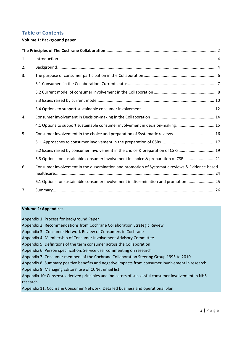## **Table of Contents**

## **Volume 1: Background paper**

| 1.             |                                                                                                |  |  |  |
|----------------|------------------------------------------------------------------------------------------------|--|--|--|
| 2.             |                                                                                                |  |  |  |
| 3.             |                                                                                                |  |  |  |
|                |                                                                                                |  |  |  |
|                |                                                                                                |  |  |  |
|                |                                                                                                |  |  |  |
|                |                                                                                                |  |  |  |
| 4.             |                                                                                                |  |  |  |
|                | 4.1 Options to support sustainable consumer involvement in decision-making 15                  |  |  |  |
| 5.             | Consumer involvement in the choice and preparation of Systematic reviews 16                    |  |  |  |
|                |                                                                                                |  |  |  |
|                | 5.2 Issues raised by consumer involvement in the choice & preparation of CSRs 19               |  |  |  |
|                | 5.3 Options for sustainable consumer involvement in choice & preparation of CSRs 21            |  |  |  |
| 6.             | Consumer involvement in the dissemination and promotion of Systematic reviews & Evidence-based |  |  |  |
|                | 6.1 Options for sustainable consumer involvement in dissemination and promotion 25             |  |  |  |
| 7 <sub>1</sub> |                                                                                                |  |  |  |

## **Volume 2: Appendices**

Appendix 1: Process for Background Paper Appendix 2: Recommendations from Cochrane Collaboration Strategic Review Appendix 3: Consumer Network Review of Consumers in Cochrane Appendix 4: Membership of Consumer Involvement Advisory Committee Appendix 5: Definitions of the term consumer across the Collaboration Appendix 6: Person specification: Service user commenting on research Appendix 7: Consumer members of the Cochrane Collaboration Steering Group 1995 to 2010 Appendix 8: Summary positive benefits and negative impacts from consumer involvement in research Appendix 9: Managing Editors' use of CCNet email list Appendix 10: Consensus‐derived principles and indicators of successful consumer involvement in NHS research Appendix 11: Cochrane Consumer Network: Detailed business and operational plan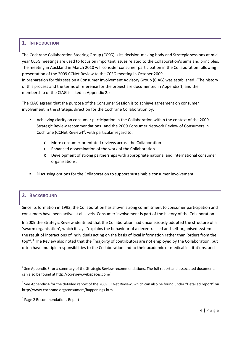## <span id="page-3-0"></span>**1. INTRODUCTION**

The Cochrane Collaboration Steering Group (CCSG) is its decision-making body and Strategic sessions at midyear CCSG meetings are used to focus on important issues related to the Collaboration's aims and principles. The meeting in Auckland in March 2010 will consider consumer participation in the Collaboration following presentation of the 2009 CCNet Review to the CCSG meeting in October 2009.

In preparation for this session a Consumer Involvement Advisory Group (CIAG) was established. (The history of this process and the terms of reference for the project are documented in Appendix 1, and the membership of the CIAG is listed in Appendix 2.)

The CIAG agreed that the purpose of the Consumer Session is to achieve agreement on consumer involvement in the strategic direction for the Cochrane Collaboration by:

- Achieving clarity on consumer participation in the Collaboration within the context of the 2009 Strategic Review recommendations<sup>[1](#page-3-0)</sup> and the 2009 Consumer Network Review of Consumers in Cochrane (CCNet Review)<sup>[2](#page-3-0)</sup>, with particular regard to:
	- More consumer-orientated reviews across the Collaboration
	- o Enhanced dissemination of the work of the Collaboration
	- o Development of strong partnerships with appropriate national and international consumer organisations.
- Discussing options for the Collaboration to support sustainable consumer involvement.

## **2. BACKGROUND**

Since its formation in 1993, the Collaboration has shown strong commitment to consumer participation and consumers have been active at all levels. Consumer involvement is part of the history of the Collaboration.

In 2009 the Strategic Review identified that the Collaboration had unconsciously adopted the structure of a 'swarm organisation', which it says "explains the behaviour of a decentralised and self‐organised system … the result of interactions of individuals acting on the basis of local information rather than 'orders from the top".<sup>[3](#page-3-0)</sup> The Review also noted that the "majority of contributors are not employed by the Collaboration, but often have multiple responsibilities to the Collaboration and to their academic or medical institutions, and

 $1$  See Appendix 3 for a summary of the Strategic Review recommendations. The full report and associated documents can also be found at <http://ccreview.wikispaces.com/>

 $2$  See Appendix 4 for the detailed report of the 2009 CCNet Review, which can also be found under "Detailed report" on http://www.cochrane.org/consumers/happenings.htm

<sup>&</sup>lt;sup>3</sup> Page 2 Recommendations Report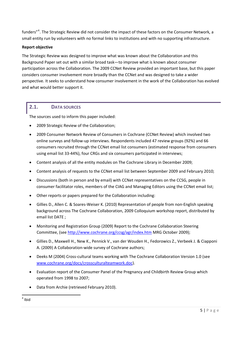<span id="page-4-0"></span>funders"<sup>[4](#page-4-0)</sup>. The Strategic Review did not consider the impact of these factors on the Consumer Network, a small entity run by volunteers with no formal links to institutions and with no supporting infrastructure.

## **Report objective**

The Strategic Review was designed to improve what was known about the Collaboration and this Background Paper set out with a similar broad task—to improve what is known about consumer participation across the Collaboration. The 2009 CCNet Review provided an important base, but this paper considers consumer involvement more broadly than the CCNet and was designed to take a wider perspective. It seeks to understand how consumer involvement in the work of the Collaboration has evolved and what would better support it.

## **2.1. DATA SOURCES**

The sources used to inform this paper included:

- 2009 Strategic Review of the Collaboration;
- 2009 Consumer Network Review of Consumers in Cochrane (CCNet Review) which involved two online surveys and follow‐up interviews. Respondents included 47 review groups (92%) and 66 consumers recruited through the CCNet email list consumers (estimated response from consumers using email list 33‐44%), four CRGs and six consumers participated in interviews;
- Content analysis of all the entity modules on The Cochrane Library in December 2009;
- Content analysis of requests to the CCNet email list between September 2009 and February 2010;
- Discussions (both in person and by email) with CCNet representatives on the CCSG, people in consumer facilitator roles, members of the CIAG and Managing Editors using the CCNet email list;
- Other reports or papers prepared for the Collaboration including:
- Gillies D., Allen C. & Soares‐Weiser K. (2010) Representation of people from non‐English speaking background across The Cochrane Collaboration, 2009 Colloquium workshop report, distributed by email list DATE ;
- Monitoring and Registration Group (2009) Report to the Cochrane Collaboration Steering Committee, (see <http://www.cochrane.org/ccsg/agr/index.htm> MRG October 2009);
- Gillies D., Maxwell H., New K., Pennick V., van der Wouden H., Fedorowics Z., Verbeek J. & Ciapponi A. (2009) A Collaboration‐wide survey of Cochrane authors;
- Deeks M (2004) Cross-cultural teams working with The Cochrane Collaboration Version 1.0 (see [www.cochrane.org/docs/crossculturalteamwork.doc\)](http://www.cochrane.org/docs/crossculturalteamwork.doc).
- Evaluation report of the Consumer Panel of the Pregnancy and Childbirth Review Group which operated from 1998 to 2007;
- Data from Archie (retrieved February 2010).

<sup>4</sup> Ibid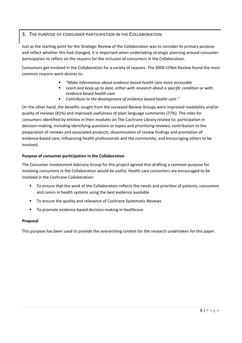## <span id="page-5-0"></span>**3. THE PURPOSE OF CONSUMER PARTICIPATION IN THE COLLABORATION**

Just as the starting point for the Strategic Review of the Collaboration was to consider its primary purpose and reflect whether this had changed, it is important when undertaking strategic planning around consumer participation to reflect on the reasons for the inclusion of consumers in the Collaboration.

Consumers get involved in the Collaboration for a variety of reasons. The 2009 CCNet Review found the most common reasons were desires to:

- *"Make information about evidence based health care more accessible*
- *Learn and keep up to date, either with research about a specific condition or with evidence based health care*
- *Contribute to the development of evidence based health care."*

On the other hand, the benefits sought from the surveyed Review Groups were improved readability and/or quality of reviews (81%) and improved usefulness of plain language summaries (77%). The roles for consumers identified by entities in their modules on The Cochrane Library related to: participation in decision‐making, including identifying questions or topics and prioritising reviews; contribution to the preparation of reviews and associated products; dissemination of review findings and promotion of evidence‐based care; influencing health professionals and the community; and encouraging others to be involved.

## **Purpose of consumer participation in the Collaboration**

The Consumer Involvement Advisory Group for this project agreed that drafting a common purpose for involving consumers in the Collaboration would be useful. Health care consumers are encouraged to be involved in the Cochrane Collaboration:

- To ensure that the work of the Collaboration reflects the needs and priorities of patients, consumers and carers in health systems using the best evidence available
- To ensure the quality and relevance of Cochrane Systematic Reviews
- To promote evidence-based decision-making in healthcare.

## **Proposal**

This purpose has been used to provide the overarching context for the research undertaken for this paper.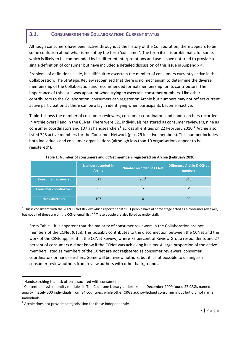## <span id="page-6-0"></span>**3.1. CONSUMERS IN THE COLLABORATION: CURRENT STATUS**

Although consumers have been active throughout the history of the Collaboration, there appears to be some confusion about what is meant by the term 'consumer'. The term itself is problematic for some, which is likely to be compounded by its different interpretations and use. I have not tried to provide a single definition of consumer but have included a detailed discussion of this issue in Appendix 4.

Problems of definitions aside, it is difficult to ascertain the number of consumers currently active in the Collaboration. The Strategic Review recognised that there is no mechanism to determine the diverse membership of the Collaboration and recommended formal membership for its contributors. The importance of this issue was apparent when trying to ascertain consumer numbers. Like other contributors to the Collaboration, consumers can register on Archie but numbers may not reflect current active participation as there can be a lag in identifying when participants become inactive.

Table 1 shows the number of consumer reviewers, consumer coordinators and handsearchers recorded in Archie overall and in the CCNet. There were 521 individuals registered as consumer reviewers, nine as consumer coordinators and 107 as handsearchers<sup>[5](#page-6-0)</sup> across all entities on 22 February 2010.<sup>[6](#page-6-0)</sup> Archie also listed 723 active members for the Consumer Network (plus 29 inactive members). This number includes both individuals and consumer organisations (although less than 10 organisations appear to be registered<sup>[7](#page-6-0)</sup>).

|                              | Number recorded in<br><b>Archie</b> | <b>Number recorded in CCNet</b> | <b>Difference Archie &amp; CCNet</b><br><b>numbers</b> |
|------------------------------|-------------------------------------|---------------------------------|--------------------------------------------------------|
| <b>Consumer reviewers</b>    | 521                                 | 205 <sup>a</sup>                | 316                                                    |
| <b>Consumer coordinators</b> | 9                                   |                                 |                                                        |
| <b>Handsearchers</b>         | 107                                 | 8                               | -99                                                    |

## **Table 1: Number of consumers and CCNet members registered on Archie (February 2010).**

<sup>a</sup> This is consistent with the 2009 CCNet Review which reported that "191 people have at some stage acted as a consumer reviewer, but not all of these are on the CCNet email list." <sup>b</sup> These people are also listed as entity staff.

From Table 1 it is apparent that the majority of consumer reviewers in the Collaboration are not members of the CCNet (61%). This possibly contributes to the disconnection between the CCNet and the work of the CRGs apparent in the CCNet Review, where 72 percent of Review Group respondents and 27 percent of consumers did not know if the CCNet was achieving its aims. A large proportion of the active members listed as members of the CCNet are not registered as consumer reviewers, consumer coordinators or handsearchers. Some will be review authors, but it is not possible to distinguish consumer review authors from review authors with other backgrounds.

 $<sup>5</sup>$  Handsearching is a task often associated with consumers.</sup>

 $6$  Content analysis of entity modules in The Cochrane Library undertaken in December 2009 found 27 CRGs named approximately 500 individuals from 34 countries, while other CRGs acknowledged consumer input but did not name individuals.

 $7$  Archie does not provide categorisation for these independently.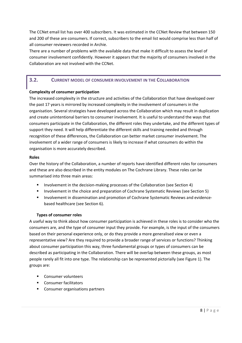<span id="page-7-0"></span>The CCNet email list has over 400 subscribers. It was estimated in the CCNet Review that between 150 and 200 of these are consumers. If correct, subscribers to the email list would comprise less than half of all consumer reviewers recorded in Archie.

There are a number of problems with the available data that make it difficult to assess the level of consumer involvement confidently. However it appears that the majority of consumers involved in the Collaboration are not involved with the CCNet.

## **3.2. CURRENT MODEL OF CONSUMER INVOLVEMENT IN THE COLLABORATION**

## **Complexity of consumer participation**

The increased complexity in the structure and activities of the Collaboration that have developed over the past 17 years is mirrored by increased complexity in the involvement of consumers in the organisation. Several strategies have developed across the Collaboration which may result in duplication and create unintentional barriers to consumer involvement. It is useful to understand the ways that consumers participate in the Collaboration, the different roles they undertake, and the different types of support they need. It will help differentiate the different skills and training needed and through recognition of these differences, the Collaboration can better market consumer involvement. The involvement of a wider range of consumers is likely to increase if what consumers do within the organisation is more accurately described.

## **Roles**

Over the history of the Collaboration, a number of reports have identified different roles for consumers and these are also described in the entity modules on The Cochrane Library. These roles can be summarised into three main areas:

- Involvement in the decision-making processes of the Collaboration (see Section 4)
- Involvement in the choice and preparation of Cochrane Systematic Reviews (see Section 5)
- Involvement in dissemination and promotion of Cochrane Systematic Reviews and evidencebased healthcare (see Section 6).

#### **Types of consumer roles**

A useful way to think about how consumer participation is achieved in these roles is to consider who the consumers are, and the type of consumer input they provide. For example, is the input of the consumers based on their personal experience only, or do they provide a more generalised view or even a representative view? Are they required to provide a broader range of services or functions? Thinking about consumer participation this way, three fundamental groups or types of consumers can be described as participating in the Collaboration. There will be overlap between these groups, as most people rarely all fit into one type. The relationship can be represented pictorially (see Figure 1). The groups are:

- **Consumer volunteers**
- **EXECONSUMER FACILITATION**
- **Consumer organisations partners**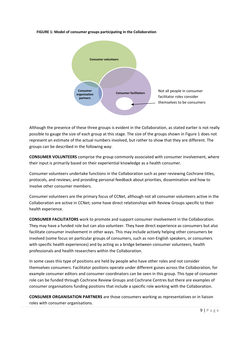

#### **FIGURE 1: Model of consumer groups participating in the Collaboration**

Although the presence of these three groups is evident in the Collaboration, as stated earlier is not really possible to gauge the size of each group at this stage. The size of the groups shown in Figure 1 does not represent an estimate of the actual numbers involved, but rather to show that they are different. The groups can be described in the following way:

**CONSUMER VOLUNTEERS** comprise the group commonly associated with consumer involvement, where their input is primarily based on their experiential knowledge as a health consumer.

Consumer volunteers undertake functions in the Collaboration such as peer reviewing Cochrane titles, protocols, and reviews; and providing personal feedback about priorities, dissemination and how to involve other consumer members.

Consumer volunteers are the primary focus of CCNet, although not all consumer volunteers active in the Collaboration are active in CCNet; some have direct relationships with Review Groups specific to their health experience.

**CONSUMER FACILITATORS** work to promote and support consumer involvement in the Collaboration. They may have a funded role but can also volunteer. They have direct experience as consumers but also facilitate consumer involvement in other ways. This may include actively helping other consumers be involved (some focus on particular groups of consumers, such as non‐English speakers, or consumers with specific health experiences) and by acting as a bridge between consumer volunteers, health professionals and health researchers within the Collaboration.

In some cases this type of positions are held by people who have other roles and not consider themselves consumers. Facilitator positions operate under different guises across the Collaboration, for example consumer editors and consumer coordinators can be seen in this group. This type of consumer role can be funded through Cochrane Review Groups and Cochrane Centres but there are examples of consumer organisations funding positions that include a specific role working with the Collaboration.

**CONSUMER ORGANISATION PARTNERS** are those consumers working as representatives or in liaison roles with consumer organisations.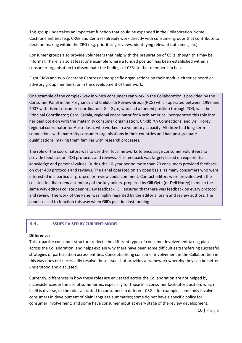<span id="page-9-0"></span>This group undertakes an important function that could be expanded in the Collaboration. Some Cochrane entities (e.g. CRGs and Centres) already work directly with consumer groups that contribute to decision‐making within the CRG (e.g. prioritising reviews, identifying relevant outcomes, etc).

Consumer groups also provide volunteers that help with the preparation of CSRs, though this may be informal. There is also at least one example where a funded position has been established within a consumer organisation to disseminate the findings of CSRs to that membership base.

Eight CRGs and two Cochrane Centres name specific organisations on their module either as board or advisory group members, or in the development of their work.

One example of the complex way in which consumers can work in the Collaboration is provided by the Consumer Panel in the Pregnancy and Childbirth Review Group (PCG) which operated between 1998 and 2007 with three consumer coordinators. Gill Gyte, who had a funded position through PCG, was the Principal Coordinator; Carol Sakala, regional coordinator for North America, incorporated this role into her paid position with the maternity consumer organisation, Childbirth Connections; and Dell Horey, regional coordinator for Australasia, who worked in a voluntary capacity. All three had long‐term connections with maternity consumer organisations in their countries and had postgraduate qualifications, making them familiar with research processes.

The role of the coordinators was to use their local networks to encourage consumer volunteers to provide feedback on PCG protocols and reviews. This feedback was largely based on experiential knowledge and personal values. During the 10‐year period more than 70 consumers provided feedback on over 400 protocols and reviews. The Panel operated on an open basis; as many consumers who were interested in a particular protocol or review could comment. Contact editors were provided with the collated feedback *and* a summary of the key points, prepared by Gill Gyte (or Dell Horey) in much the same way editors collate peer review feedback. Gill ensured that there was feedback on every protocol and review. The work of the Panel was highly regarded by the editorial team and review authors. The panel ceased to function this way when Gill's position lost funding.

## **3.3. ISSUES RAISED BY CURRENT MODEL**

#### **Differences**

This tripartite consumer structure reflects the different types of consumer involvement taking place across the Collaboration, and helps explain why there have been some difficulties transferring successful strategies of participation across entities. Conceptualising consumer involvement in the Collaboration in this way does not necessarily resolve these issues but provides a framework whereby they can be better understood and discussed.

Currently, differences in how these roles are envisaged across the Collaboration are not helped by inconsistencies in the use of some terms, especially for those in a consumer facilitator position, which itself is diverse, or the roles allocated to consumers in different CRGs (for example, some only involve consumers in development of plain language summaries; some do not have a specific policy for consumer involvement; and some have consumer input at every stage of the review development.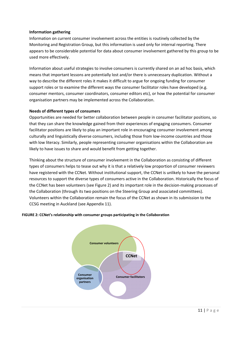## **Information gathering**

Information on current consumer involvement across the entities is routinely collected by the Monitoring and Registration Group, but this information is used only for internal reporting. There appears to be considerable potential for data about consumer involvement gathered by this group to be used more effectively.

Information about useful strategies to involve consumers is currently shared on an ad hoc basis, which means that important lessons are potentially lost and/or there is unnecessary duplication. Without a way to describe the different roles it makes it difficult to argue for ongoing funding for consumer support roles or to examine the different ways the consumer facilitator roles have developed (e.g. consumer mentors, consumer coordinators, consumer editors etc), or how the potential for consumer organisation partners may be implemented across the Collaboration.

## **Needs of different types of consumers**

Opportunities are needed for better collaboration between people in consumer facilitator positions, so that they can share the knowledge gained from their experiences of engaging consumers. Consumer facilitator positions are likely to play an important role in encouraging consumer involvement among culturally and linguistically diverse consumers, including those from low‐income countries and those with low literacy. Similarly, people representing consumer organisations within the Collaboration are likely to have issues to share and would benefit from getting together.

Thinking about the structure of consumer involvement in the Collaboration as consisting of different types of consumers helps to tease out why it is that a relatively low proportion of consumer reviewers have registered with the CCNet. Without institutional support, the CCNet is unlikely to have the personal resources to support the diverse types of consumers active in the Collaboration. Historically the focus of the CCNet has been volunteers (see Figure 2) and its important role in the decision‐making processes of the Collaboration (through its two positions on the Steering Group and associated committees). Volunteers within the Collaboration remain the focus of the CCNet as shown in its submission to the CCSG meeting in Auckland (see Appendix 11).

#### **FIGURE 2: CCNet's relationship with consumer groups participating in the Collaboration**

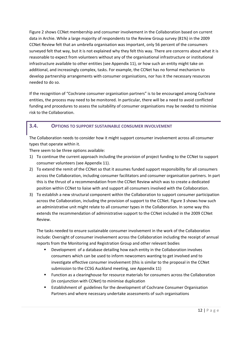<span id="page-11-0"></span>Figure 2 shows CCNet membership and consumer involvement in the Collaboration based on current data in Archie. While a large majority of respondents to the Review Group survey (81%) in the 2009 CCNet Review felt that an umbrella organisation was important, only 56 percent of the consumers surveyed felt that way, but it is not explained why they felt this way. There are concerns about what it is reasonable to expect from volunteers without any of the organisational infrastructure or institutional infrastructure available to other entities (see Appendix 11), or how such an entity might take on additional, and increasingly complex, tasks. For example, the CCNet has no formal mechanism to develop partnership arrangements with consumer organisations, nor has it the necessary resources needed to do so.

If the recognition of "Cochrane consumer organisation partners" is to be encouraged among Cochrane entities, the process may need to be monitored. In particular, there will be a need to avoid conflicted funding and procedures to assess the suitability of consumer organisations may be needed to minimise risk to the Collaboration.

## **3.4. OPTIONS TO SUPPORT SUSTAINABLE CONSUMER INVOLVEMENT**

The Collaboration needs to consider how it might support consumer involvement across all consumer types that operate within it.

There seem to be three options available:

- 1) To continue the current approach including the provision of project funding to the CCNet to support consumer volunteers (see Appendix 11).
- 2) To extend the remit of the CCNet so that it assumes funded support responsibility for all consumers across the Collaboration, including consumer facilitators and consumer organisation partners. In part this is the thrust of a recommendation from the CCNet Review which was to create a dedicated position within CCNet to liaise with and support all consumers involved with the Collaboration.
- 3) To establish a new structural component within the Collaboration to support consumer participation across the Collaboration, including the provision of support to the CCNet. Figure 3 shows how such an administrative unit might relate to all consumer types in the Collaboration. In some way this extends the recommendation of administrative support to the CCNet included in the 2009 CCNet Review.

The tasks needed to ensure sustainable consumer involvement in the work of the Collaboration include: Oversight of consumer involvement across the Collaboration including the receipt of annual reports from the Monitoring and Registration Group and other relevant bodies

- Development of a database detailing how each entity in the Collaboration involves consumers which can be used to inform newcomers wanting to get involved and to investigate effective consumer involvement (this is similar to the proposal in the CCNet submission to the CCSG Auckland meeting, see Appendix 11)
- Function as a clearinghouse for resource materials for consumers across the Collaboration (in conjunction with CCNet) to minimise duplication
- Establishment of guidelines for the development of Cochrane Consumer Organisation Partners and where necessary undertake assessments of such organisations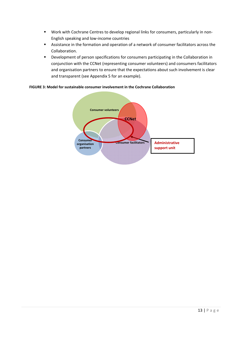- Work with Cochrane Centres to develop regional links for consumers, particularly in non-English speaking and low‐income countries
- Assistance in the formation and operation of a network of consumer facilitators across the Collaboration.
- Development of person specifications for consumers participating in the Collaboration in conjunction with the CCNet (representing consumer volunteers) and consumers facilitators and organisation partners to ensure that the expectations about such involvement is clear and transparent (see Appendix 5 for an example).

#### **FIGURE 3: Model for sustainable consumer involvement in the Cochrane Collaboration**

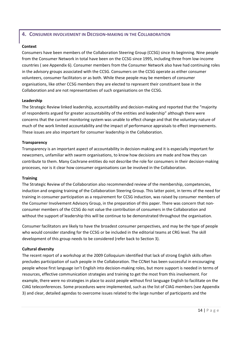## <span id="page-13-0"></span>**4. CONSUMER INVOLVEMENT IN DECISION‐MAKING IN THE COLLABORATION**

## **Context**

Consumers have been members of the Collaboration Steering Group (CCSG) since its beginning. Nine people from the Consumer Network in total have been on the CCSG since 1995, including three from low‐income countries ( see Appendix 6). Consumer members from the Consumer Network also have had continuing roles in the advisory groups associated with the CCSG. Consumers on the CCSG operate as either consumer volunteers, consumer facilitators or as both. While these people may be members of consumer organisations, like other CCSG members they are elected to represent their constituent base in the Collaboration and are not representatives of such organisations on the CCSG.

## **Leadership**

The Strategic Review linked leadership, accountability and decision‐making and reported that the "majority of respondents argued for greater accountability of the entities and leadership" although there were concerns that the current monitoring system was unable to effect change and that the voluntary nature of much of the work limited accountability and the impact of performance appraisals to effect improvements. These issues are also important for consumer leadership in the Collaboration.

## **Transparency**

Transparency is an important aspect of accountability in decision‐making and it is especially important for newcomers, unfamiliar with swarm organisations, to know how decisions are made and how they can contribute to them. Many Cochrane entities do not describe the role for consumers in their decision‐making processes, nor is it clear how consumer organisations can be involved in the Collaboration.

#### **Training**

The Strategic Review of the Collaboration also recommended review of the membership, competencies, induction and ongoing training of the Collaboration Steering Group. This latter point, in terms of the need for training in consumer participation as a requirement for CCSG induction, was raised by consumer members of the Consumer Involvement Advisory Group, in the preparation of this paper. There was concern that non‐ consumer members of the CCSG do not value the contribution of consumers in the Collaboration and without the support of leadership this will be continue to be demonstrated throughout the organisation.

Consumer facilitators are likely to have the broadest consumer perspectives, and may be the type of people who would consider standing for the CCSG or be included in the editorial teams at CRG level. The skill development of this group needs to be considered (refer back to Section 3).

## **Cultural diversity**

The recent report of a workshop at the 2009 Colloquium identified that lack of strong English skills often precludes participation of such people in the Collaboration. The CCNet has been successful in encouraging people whose first language isn't English into decision‐making roles, but more support is needed in terms of resources, effective communication strategies and training to get the most from this involvement. For example, there were no strategies in place to assist people without first language English to facilitate on the CIAG teleconferences. Some procedures were implemented, such as the list of CIAG members (see Appendix 3) and clear, detailed agendas to overcome issues related to the large number of participants and the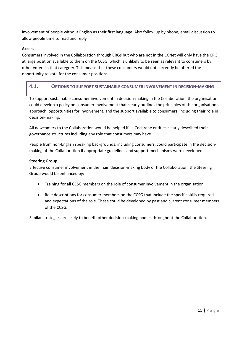<span id="page-14-0"></span>involvement of people without English as their first language. Also follow up by phone, email discussion to allow people time to read and reply

## **Access**

Consumers involved in the Collaboration through CRGs but who are not in the CCNet will only have the CRG at large position available to them on the CCSG, which is unlikely to be seen as relevant to consumers by other voters in that category. This means that these consumers would not currently be offered the opportunity to vote for the consumer positions.

## **4.1. OPTIONS TO SUPPORT SUSTAINABLE CONSUMER INVOLVEMENT IN DECISION‐MAKING**

To support sustainable consumer involvement in decision-making in the Collaboration, the organisation could develop a policy on consumer involvement that clearly outlines the principles of the organisation's approach, opportunities for involvement, and the support available to consumers, including their role in decision‐making.

All newcomers to the Collaboration would be helped if all Cochrane entities clearly described their governance structures including any role that consumers may have.

People from non-English speaking backgrounds, including consumers, could participate in the decisionmaking of the Collaboration if appropriate guidelines and support mechanisms were developed.

## **Steering Group**

Effective consumer involvement in the main decision-making body of the Collaboration, the Steering Group would be enhanced by:

- Training for all CCSG members on the role of consumer involvement in the organisation.
- Role descriptions for consumer members on the CCSG that include the specific skills required and expectations of the role. These could be developed by past and current consumer members of the CCSG.

Similar strategies are likely to benefit other decision‐making bodies throughout the Collaboration.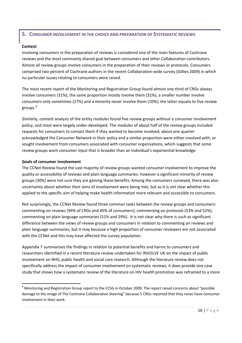## <span id="page-15-0"></span>**5. CONSUMER INVOLVEMENT IN THE CHOICE AND PREPARATION OF SYSTEMATIC REVIEWS**

## **Context**

Involving consumers in the preparation of reviews is considered one of the main features of Cochrane reviews and the most commonly shared goal between consumers and other Collaboration contributors. Almost all review groups involve consumers in the preparation of their reviews or protocols. Consumers comprised two percent of Cochrane authors in the recent Collaboration‐wide survey (Gillies 2009) in which no particular issues relating to consumers were raised.

The most recent report of the Monitoring and Registration Group found almost one third of CRGs always involve consumers (31%), the same proportion mostly involve them (31%), a smaller number involve consumers only sometimes (27%) and a minority never involve them (10%); the latter equate to five review groups.<sup>[8](#page-15-0)</sup>

Similarly, content analysis of the entity modules found five review groups without a consumer involvement policy, and most were largely under‐developed. The modules of about half of the review groups included requests for consumers to contact them if they wanted to become involved; about one quarter acknowledged the Consumer Network in their policy and a similar proportion were either involved with, or sought involvement from consumers associated with consumer organisations, which suggests that some review groups want consumer input that is broader than an individual's experiential knowledge.

## **Goals of consumer involvement**

The CCNet Review found the vast majority of review groups wanted consumer involvement to improve the quality or accessibility of reviews and plain language summaries: however a significant minority of review groups (30%) were not sure they are gaining these benefits. Among the consumers surveyed, there was also uncertainty about whether their aims of involvement were being met, but as it is not clear whether this applied to the specific aim of helping make health information more relevant and accessible to consumers.

Not surprisingly, the CCNet Review found three common tasks between the review groups and consumers: commenting on reviews (94% of CRGs and 45% of consumers); commenting on protocols (53% and 52%); commenting on plain language summaries (51% and 29%). It is not clear why there is such as significant difference between the views of review groups and consumers in relation to commenting on reviews and plain language summaries, but it may because a high proportion of consumer reviewers are not associated with the CCNet and this may have affected the survey population.

Appendix 7 summarises the findings in relation to potential benefits and harms to consumers and researchers identified in a recent literature review undertaken for INVOLVE UK on the impact of public involvement on NHS, public health and social care research. Although the literature review does not specifically address the impact of consumer involvement on systematic reviews, it does provide one case study that shows how a systematic review of the literature on HIV health promotion was reframed to a more

<sup>&</sup>lt;sup>8</sup> Monitoring and Registration Group report to the CCSG in October 2009. The report raised concerns about "possible damage to the image of The Cochrane Collaboration Steering" because 5 CRGs reported that they never have consumer involvement in their work.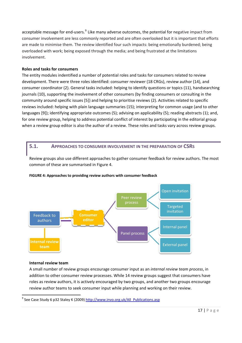<span id="page-16-0"></span>acceptable message for end-users.<sup>[9](#page-16-0)</sup> Like many adverse outcomes, the potential for negative impact from consumer involvement are less commonly reported and are often overlooked but it is important that efforts are made to minimise them. The review identified four such impacts: being emotionally burdened; being overloaded with work; being exposed through the media; and being frustrated at the limitations involvement.

## **Roles and tasks for consumers**

The entity modules indentified a number of potential roles and tasks for consumers related to review development. There were three roles identified: consumer reviewer (18 CRGs), review author (14), and consumer coordinator (2). General tasks included: helping to identify questions or topics (11), handsearching journals (10), supporting the involvement of other consumers (by finding consumers or consulting in the community around specific issues [5]) and helping to prioritise reviews (2). Activities related to specific reviews included: helping with plain language summaries (15); interpreting for common usage (and to other languages [9]); identifying appropriate outcomes (5); advising on applicability (5); reading abstracts (1); and, for one review group, helping to address potential conflict of interest by participating in the editorial group when a review group editor is also the author of a review. These roles and tasks vary across review groups.

## **5.1. APPROACHES TO CONSUMER INVOLVEMENT IN THE PREPARATION OF CSRS**

Review groups also use different approaches to gather consumer feedback for review authors. The most common of these are summarised in Figure 4.



#### **FIGURE 4: Approaches to providing review authors with consumer feedback**

#### **Internal review team**

A small number of review groups encourage consumer input as an *internal review team process*, in addition to other consumer review processes. While 14 review groups suggest that consumers have roles as review authors, it is actively encouraged by two groups, and another two groups encourage review author teams to seek consumer input while planning and working on their review.

<sup>&</sup>lt;sup>9</sup> See Case Study 6 p32 Staley K (2009) [http://www.invo.org.uk/All\\_Publications.asp](http://www.invo.org.uk/All_Publications.asp)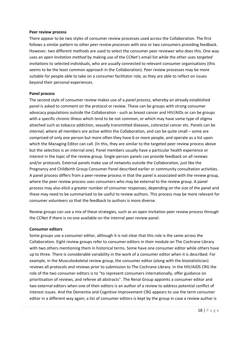#### **Peer review process**

There appear to be two styles of consumer review processes used across the Collaboration. The first follows a similar pattern to other *peer review processes* with one or two consumers providing feedback. However, two different methods are used to select the consumer peer reviewer who does this. One way uses an *open invitation method* by making use of the CCNet's email list while the other uses *targeted invitations* to selected individuals, who are usually connected to relevant consumer organisations (this seems to be the least common approach in the Collaboration). Peer review processes may be more suitable for people able to take on a consumer facilitator role, as they are able to reflect on issues beyond their personal experiences.

#### **Panel process**

The second style of consumer review makes use of a *panel process*, whereby an already established panel is asked to comment on the protocol or review. These can be groups with strong consumer advocacy populations outside the Collaboration ‐ such as breast cancer and HIV/AIDs or can be groups with a specific chronic illness which tend to be not common, or which may have some type of stigma attached such as tobacco addiction, sexually transmitted diseases, colorectal cancer etc. Panels can be *internal*, where all members are active within the Collaboration, and can be quite small – some are comprised of only one person but more often they have 6 or more people, and operate as a list upon which the Managing Editor can call. (In this, they are similar to the targeted peer review process above but the selection is an internal one). Panel members usually have a particular health experience or interest in the topic of the review group. Single‐person panels can provide feedback on all reviews and/or protocols. External panels make use of networks outside the Collaboration, just like the Pregnancy and Childbirth Group Consumer Panel described earlier or community consultation activities. A panel process differs from a peer-review process in that the panel is associated with the review group, where the peer review process uses consumers who may be external to the review group. A panel process may also elicit a greater number of consumer responses, depending on the size of the panel and these may need to be summarised to be useful to review authors. This process may be more relevant for consumer volunteers so that the feedback to authors is more diverse.

Review groups can use a mix of these strategies, such as an open invitation peer review process through the CCNet if there is no one available on the internal peer review panel.

#### **Consumer editors**

Some groups use a consumer editor, although it is not clear that this role is the same across the Collaboration. Eight review groups refer to consumer editors in their module on The Cochrane Library with two others mentioning them in historical terms. Some have one consumer editor while others have up to three. There is considerable variability in the work of a consumer editor when it is described. For example, in the Musculoskeletal review group, the consumer editor (along with the biostatistician) reviews all protocols and reviews prior to submission to The Cochrane Library. In the HIV/AIDS CRG the role of the two consumer editors is to "to represent consumers internationally, offer guidance on prioritisation of reviews, and referee all abstracts". The Renal Group appoints a consumer editor and two external editors when one of their editors is an author of a review to address potential conflict of interest issues. And the Dementia and Cognitive Improvement CRG appears to use the term consumer editor in a different way again; a list of consumer editors is kept by the group in case a review author is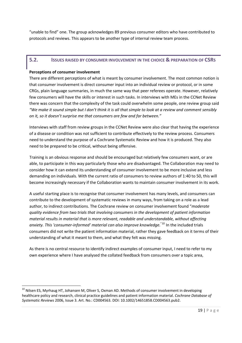<span id="page-18-0"></span>"unable to find" one. The group acknowledges 89 previous consumer editors who have contributed to protocols and reviews. This appears to be another type of internal review team process.

## **5.2. ISSUES RAISED BY CONSUMER INVOLVEMENT IN THE CHOICE & PREPARATION OF CSRS**

## **Perceptions of consumer involvement**

There are different perceptions of what is meant by consumer involvement. The most common notion is that consumer involvement is direct consumer input into an individual review or protocol, or in some CRGs, plain language summaries, in much the same way that peer referees operate. However, relatively few consumers will have the skills or interest in such tasks. In interviews with MEs in the CCNet Review there was concern that the complexity of the task could overwhelm some people, one review group said "We make it sound simple but I don't think it is all that simple to look at a review and comment sensibly *on it, so it doesn't surprise me that consumers are few and far between."*

Interviews with staff from review groups in the CCNet Review were also clear that having the experience of a disease or condition was not sufficient to contribute effectively to the review process. Consumers need to understand the purpose of a Cochrane Systematic Review and how it is produced. They also need to be prepared to be critical, without being offensive.

Training is an obvious response and should be encouraged but relatively few consumers want, or are able, to participate in this way particularly those who are disadvantaged. The Collaboration may need to consider how it can extend its understanding of consumer involvement to be more inclusive and less demanding on individuals. With the current ratio of consumers to review authors of 1:40 to 50, this will become increasingly necessary if the Collaboration wants to maintain consumer involvement in its work.

A useful starting place is to recognise that consumer involvement has many levels, and consumers can contribute to the development of systematic reviews in many ways, from taking on a role as a lead author, to indirect contributions. The Cochrane review on consumer involvement found "*moderate quality evidence from two trials that involving consumers in the development of patient information material results in material that is more relevant, readable and understandable, without affecting anxiety. This 'consumer‐informed' material can also improve knowledge.*"[10](#page-18-0) In the included trials consumers did not write the patient information material, rather they gave feedback on it terms of their understanding of what it meant to them, and what they felt was missing.

As there is no central resource to identify indirect examples of consumer input, I need to refer to my own experience where I have analysed the collated feedback from consumers over a topic area,

<sup>&</sup>lt;sup>10</sup> Nilsen ES, Myrhaug HT, Johansen M, Oliver S, Oxman AD. Methods of consumer involvement in developing healthcare policy and research, clinical practice guidelines and patient information material. *Cochrane Database of Systematic Reviews* 2006, Issue 3. Art. No.: CD004563. DOI: 10.1002/14651858.CD004563.pub2.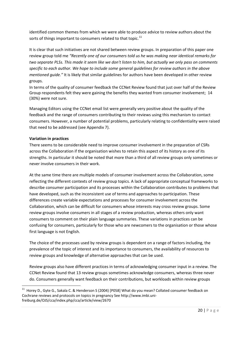<span id="page-19-0"></span>identified common themes from which we were able to produce advice to review authors about the sorts of things important to consumers related to that topic.<sup>[11](#page-19-0)</sup>

It is clear that such initiatives are not shared between review groups. In preparation of this paper one review group told me *"Recently one of our consumers told us he was making near identical remarks for* two separate PLSs. This made it seem like we don't listen to him, but actually we only pass on comments *specific to each author. We hope to include some general guidelines for review authors in the above mentioned guide."* It is likely that similar guidelines for authors have been developed in other review groups.

In terms of the quality of consumer feedback the CCNet Review found that just over half of the Review Group respondents felt they were gaining the benefits they wanted from consumer involvement; 14 (30%) were not sure.

Managing Editors using the CCNet email list were generally very positive about the quality of the feedback and the range of consumers contributing to their reviews using this mechanism to contact consumers. However, a number of potential problems, particularly relating to confidentiality were raised that need to be addressed (see Appendix 7).

## **Variation in practices**

There seems to be considerable need to improve consumer involvement in the preparation of CSRs across the Collaboration if the organisation wishes to retain this aspect of its history as one of its strengths. In particular it should be noted that more than a third of all review groups only sometimes or never involve consumers in their work.

At the same time there are multiple models of consumer involvement across the Collaboration, some reflecting the different contexts of review group topics. A lack of appropriate conceptual frameworks to describe consumer participation and its processes within the Collaboration contributes to problems that have developed, such as the inconsistent use of terms and approaches to participation. These differences create variable expectations and processes for consumer involvement across the Collaboration, which can be difficult for consumers whose interests may cross review groups. Some review groups involve consumers in all stages of a review production, whereas others only want consumers to comment on their plain language summaries. These variations in practices can be confusing for consumers, particularly for those who are newcomers to the organisation or those whose first language is not English.

The choice of the processes used by review groups is dependent on a range of factors including, the prevalence of the topic of interest and its importance to consumers, the availability of resources to review groups and knowledge of alternative approaches that can be used.

Review groups also have different practices in terms of acknowledging consumer input in a review. The CCNet Review found that 13 review groups sometimes acknowledge consumers, whereas three never do. Consumers generally want feedback on their contributions, but workloads within review groups

 $^{11}$  Horey D., Gyte G., Sakala C. & Henderson S (2004) [P058] What do you mean? Collated consumer feedback on Cochrane reviews and protocols on topics in pregnancy See http://www.imbi.uni‐ freiburg.de/OJS/cca/index.php/cca/article/view/2670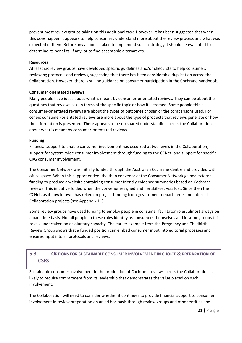<span id="page-20-0"></span>prevent most review groups taking on this additional task. However, it has been suggested that when this does happen it appears to help consumers understand more about the review process and what was expected of them. Before any action is taken to implement such a strategy it should be evaluated to determine its benefits, if any, or to find acceptable alternatives.

#### **Resources**

At least six review groups have developed specific guidelines and/or checklists to help consumers reviewing protocols and reviews, suggesting that there has been considerable duplication across the Collaboration. However, there is still no guidance on consumer participation in the Cochrane handbook.

## **Consumer orientated reviews**

Many people have ideas about what is meant by consumer‐orientated reviews. They can be about the questions that reviews ask, in terms of the specific topic or how it is framed. Some people think consumer‐orientated reviews are about the types of outcomes chosen or the comparisons used. For others consumer‐orientated reviews are more about the type of products that reviews generate or how the information is presented. There appears to be no shared understanding across the Collaboration about what is meant by consumer‐orientated reviews.

## **Funding**

Financial support to enable consumer involvement has occurred at two levels in the Collaboration; support for system-wide consumer involvement through funding to the CCNet; and support for specific CRG consumer involvement.

The Consumer Network was initially funded through the Australian Cochrane Centre and provided with office space. When this support ended, the then convenor of the Consumer Network gained external funding to produce a website containing consumer friendly evidence summaries based on Cochrane reviews. This initiative folded when the convenor resigned and her skill‐set was lost. Since then the CCNet, as it now known, has relied on project funding from government departments and internal Collaboration projects (see Appendix 11).

Some review groups have used funding to employ people in consumer facilitator roles, almost always on a part-time basis. Not all people in these roles identify as consumers themselves and in some groups this role is undertaken on a voluntary capacity. The earlier example from the Pregnancy and Childbirth Review Group shows that a funded position can embed consumer input into editorial processes and ensures input into all protocols and reviews.

## **5.3. OPTIONS FOR SUSTAINABLE CONSUMER INVOLVEMENT IN CHOICE & PREPARATION OF CSRS**

Sustainable consumer involvement in the production of Cochrane reviews across the Collaboration is likely to require commitment from its leadership that demonstrates the value placed on such involvement.

The Collaboration will need to consider whether it continues to provide financial support to consumer involvement in review preparation on an ad hoc basis through review groups and other entities and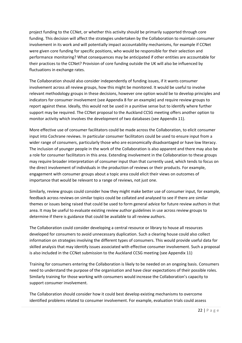project funding to the CCNet, or whether this activity should be primarily supported through core funding. This decision will affect the strategies undertaken by the Collaboration to maintain consumer involvement in its work and will potentially impact accountability mechanisms, for example if CCNet were given core funding for specific positions, who would be responsible for their selection and performance monitoring? What consequences may be anticipated if other entities are accountable for their practices to the CCNet? Provision of core funding outside the UK will also be influenced by fluctuations in exchange rates.

The Collaboration should also consider independently of funding issues, if it wants consumer involvement across all review groups, how this might be monitored. It would be useful to involve relevant methodology groups in these decisions, however one option would be to develop principles and indicators for consumer involvement (see Appendix 8 for an example) and require review groups to report against these. Ideally, this would not be used in a punitive sense but to identify where further support may be required. The CCNet proposal to the Auckland CCSG meeting offers another option to monitor activity which involves the development of two databases (see Appendix 11).

More effective use of consumer facilitators could be made across the Collaboration, to elicit consumer input into Cochrane reviews. In particular consumer facilitators could be used to ensure input from a wider range of consumers, particularly those who are economically disadvantaged or have low literacy. The inclusion of younger people in the work of the Collaboration is also apparent and there may also be a role for consumer facilitators in this area. Extending involvement in the Collaboration to these groups may require broader interpretation of consumer input than that currently used, which tends to focus on the direct involvement of individuals in the production of reviews or their products. For example, engagement with consumer groups about a topic area could elicit their views on outcomes of importance that would be relevant to a range of reviews, not just one.

Similarly, review groups could consider how they might make better use of consumer input, for example, feedback across reviews on similar topics could be collated and analysed to see if there are similar themes or issues being raised that could be used to form general advice for future review authors in that area. It may be useful to evaluate existing review author guidelines in use across review groups to determine if there is guidance that could be available to all review authors.

The Collaboration could consider developing a central resource or library to house all resources developed for consumers to avoid unnecessary duplication. Such a clearing house could also collect information on strategies involving the different types of consumers. This would provide useful data for skilled analysis that may identify issues associated with effective consumer involvement. Such a proposal is also included in the CCNet submission to the Auckland CCSG meeting (see Appendix 11)

Training for consumers entering the Collaboration is likely to be needed on an ongoing basis. Consumers need to understand the purpose of the organisation and have clear expectations of their possible roles. Similarly training for those working with consumers would increase the Collaboration's capacity to support consumer involvement.

The Collaboration should consider how it could best develop existing mechanisms to overcome identified problems related to consumer involvement. For example, evaluation trials could assess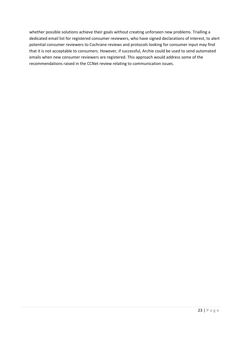whether possible solutions achieve their goals without creating unforseen new problems. Trialling a dedicated email list for registered consumer reviewers, who have signed declarations of interest, to alert potential consumer reviewers to Cochrane reviews and protocols looking for consumer input may find that it is not acceptable to consumers. However, if successful, Archie could be used to send automated emails when new consumer reviewers are registered. This approach would address some of the recommendations raised in the CCNet review relating to communication issues.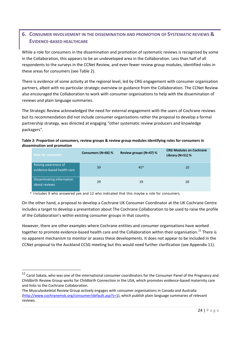## <span id="page-23-0"></span>**6. CONSUMER INVOLVEMENT IN THE DISSEMINATION AND PROMOTION OF SYSTEMATIC REVIEWS & EVIDENCE‐BASED HEALTHCARE**

While a role for consumers in the dissemination and promotion of systematic reviews is recognised by some in the Collaboration, this appears to be an undeveloped area in the Collaboration. Less than half of all respondents to the surveys in the CCNet Review, and even fewer review group modules, identified roles in these areas for consumers (see Table 2).

There is evidence of some activity at the regional level, led by CRG engagement with consumer organisation partners, albeit with no particular strategic overview or guidance from the Collaboration. The CCNet Review also encouraged the Collaboration to work with consumer organisations to help with the dissemination of reviews and plain language summaries.

The Strategic Review acknowledged the need for external engagement with the users of Cochrane reviews but its recommendation did not include consumer organisations rather the proposal to develop a formal partnership strategy, was directed at engaging "other systematic review producers and knowledge packagers".

## **Table 2: Proportion of consumers, review groups & review group modules identifying roles for consumers in dissemination and promotion**

| <b>Role for consumer</b>                           | Consumers (N=66) % | Review groups (N=47) % | <b>CRG Modules on Cochrane</b><br>Library (N=51) % |
|----------------------------------------------------|--------------------|------------------------|----------------------------------------------------|
| Raising awareness of<br>evidence-based health care | 39                 | $45*$                  | 10                                                 |
| Disseminating information<br>about reviews         | 29                 | 19                     | 20                                                 |

\* Includes 9 who answered yes and 12 who indicated that this *maybe* a role for consumers.

On the other hand, a proposal to develop a Cochrane UK Consumer Coordinator at the UK Cochrane Centre includes a target to develop a presentation about The Cochrane Collaboration to be used to raise the profile of the Collaboration's within existing consumer groups in that country.

However, there are other examples where Cochrane entities and consumer organisations have worked together to promote evidence-based health care and the Collaboration within their organisation.<sup>[12](#page-23-0)</sup> There is no apparent mechanism to monitor or assess these developments. It does not appear to be included in the CCNet proposal to the Auckland CCSG meeting but this would need further clarification (see Appendix 11).

<sup>&</sup>lt;sup>12</sup> Carol Sakala, who was one of the international consumer coordinators for the Consumer Panel of the Pregnancy and Childbirth Review Group works for Childbirth Connection in the USA, which promotes evidence‐based maternity care and links to the Cochrane Collaboration.

The Musculoskeletal Review Group actively engages with consumer organisations in Canada and Australia [\(http://www.cochranemsk.org/consumer/default.asp?s=1\)](http://www.cochranemsk.org/consumer/default.asp?s=1), which publish plain language summaries of relevant reviews.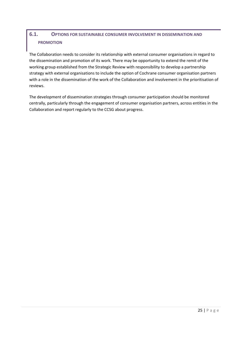## <span id="page-24-0"></span>**6.1. OPTIONS FOR SUSTAINABLE CONSUMER INVOLVEMENT IN DISSEMINATION AND PROMOTION**

The Collaboration needs to consider its relationship with external consumer organisations in regard to the dissemination and promotion of its work. There may be opportunity to extend the remit of the working group established from the Strategic Review with responsibility to develop a partnership strategy with external organisations to include the option of Cochrane consumer organisation partners with a role in the dissemination of the work of the Collaboration and involvement in the prioritisation of reviews.

The development of dissemination strategies through consumer participation should be monitored centrally, particularly through the engagement of consumer organisation partners, across entities in the Collaboration and report regularly to the CCSG about progress.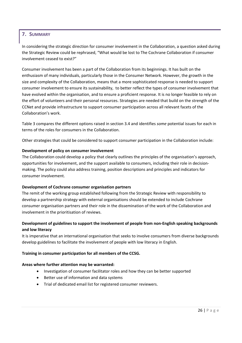## <span id="page-25-0"></span>**7. SUMMARY**

In considering the strategic direction for consumer involvement in the Collaboration, a question asked during the Strategic Review could be rephrased, "What would be lost to The Cochrane Collaboration if consumer involvement ceased to exist?"

Consumer involvement has been a part of the Collaboration from its beginnings. It has built on the enthusiasm of many individuals, particularly those in the Consumer Network. However, the growth in the size and complexity of the Collaboration, means that a more sophisticated response is needed to support consumer involvement to ensure its sustainability, to better reflect the types of consumer involvement that have evolved within the organisation, and to ensure a proficient response. It is no longer feasible to rely on the effort of volunteers and their personal resources. Strategies are needed that build on the strength of the CCNet and provide infrastructure to support consumer participation across all relevant facets of the Collaboration's work.

Table 3 compares the different options raised in section 3.4 and identifies *some* potential issues for each in terms of the roles for consumers in the Collaboration.

Other strategies that could be considered to support consumer participation in the Collaboration include:

## **Development of policy on consumer involvement**

The Collaboration could develop a policy that clearly outlines the principles of the organisation's approach, opportunities for involvement, and the support available to consumers, including their role in decision‐ making. The policy could also address training, position descriptions and principles and indicators for consumer involvement.

#### **Development of Cochrane consumer organisation partners**

The remit of the working group established following from the Strategic Review with responsibility to develop a partnership strategy with external organisations should be extended to include Cochrane consumer organisation partners and their role in the dissemination of the work of the Collaboration and involvement in the prioritisation of reviews.

## **Development of guidelines to support the involvement of people from non‐English speaking backgrounds and low literacy**

It is imperative that an international organisation that seeks to involve consumers from diverse backgrounds develop guidelines to facilitate the involvement of people with low literacy in English.

## **Training in consumer participation for all members of the CCSG.**

#### **Areas where further attention may be warranted:**

- Investigation of consumer facilitator roles and how they can be better supported
- Better use of information and data systems
- Trial of dedicated email list for registered consumer reviewers.